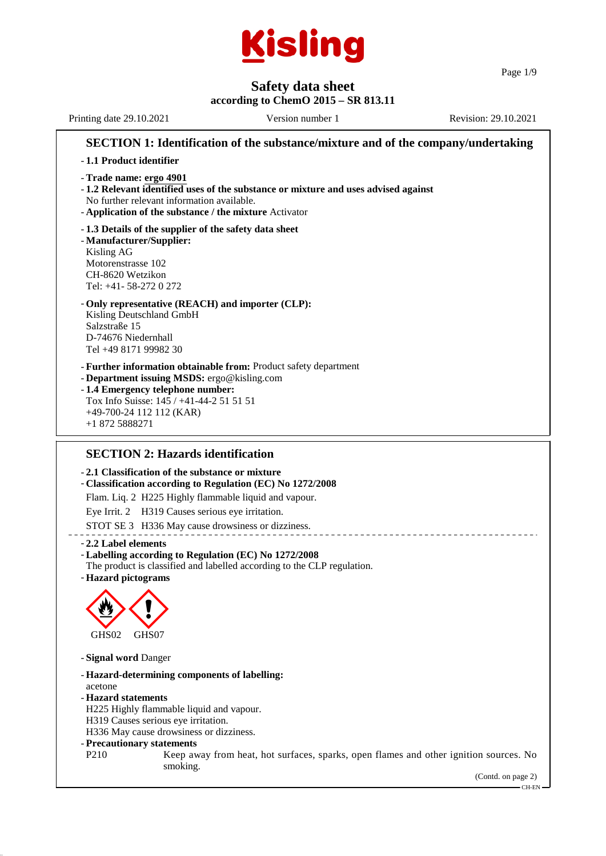

Page 1/9

# **Safety data sheet**

### **according to ChemO 2015 – SR 813.11**

Printing date 29.10.2021 Version number 1 Revision: 29.10.2021 **SECTION 1: Identification of the substance/mixture and of the company/undertaking**

- **1.1 Product identifier**
- **Trade name: ergo 4901**
- **1.2 Relevant identified uses of the substance or mixture and uses advised against** No further relevant information available.
- **Application of the substance / the mixture** Activator
- **1.3 Details of the supplier of the safety data sheet** - **Manufacturer/Supplier:** Kisling AG Motorenstrasse 102 CH-8620 Wetzikon Tel: +41- 58-272 0 272
- **Only representative (REACH) and importer (CLP):** Kisling Deutschland GmbH Salzstraße 15 D-74676 Niedernhall Tel +49 8171 99982 30
- **Further information obtainable from:** Product safety department
- **Department issuing MSDS:** ergo@kisling.com
- **1.4 Emergency telephone number:** Tox Info Suisse: 145 / +41-44-2 51 51 51 +49-700-24 112 112 (KAR) +1 872 5888271

### **SECTION 2: Hazards identification**

#### - **2.1 Classification of the substance or mixture**

- **Classification according to Regulation (EC) No 1272/2008**
- Flam. Liq. 2 H225 Highly flammable liquid and vapour.

Eye Irrit. 2 H319 Causes serious eye irritation.

- STOT SE 3 H336 May cause drowsiness or dizziness.
- **2.2 Label elements**
- **Labelling according to Regulation (EC) No 1272/2008**
- The product is classified and labelled according to the CLP regulation.
- **Hazard pictograms**



- **Signal word** Danger

- **Hazard-determining components of labelling:**
- acetone
- **Hazard statements**
- H225 Highly flammable liquid and vapour.
- H319 Causes serious eye irritation.
- H336 May cause drowsiness or dizziness.
- **Precautionary statements**
- P210 Keep away from heat, hot surfaces, sparks, open flames and other ignition sources. No smoking.

(Contd. on page 2)

CH-EN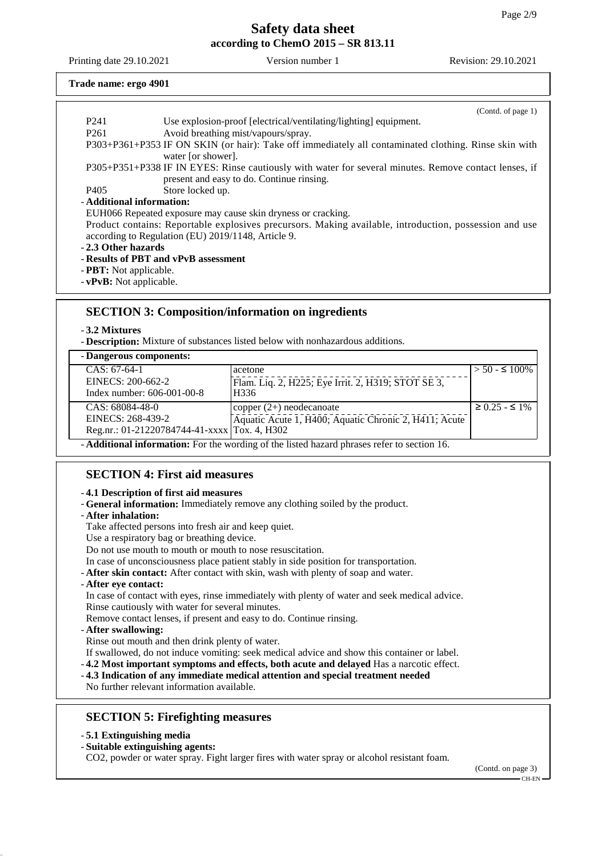Printing date 29.10.2021 Version number 1 Revision: 29.10.2021

#### **Trade name: ergo 4901**

|                                                               | (Contd. of page 1)                                                                                     |  |  |  |  |
|---------------------------------------------------------------|--------------------------------------------------------------------------------------------------------|--|--|--|--|
| P <sub>241</sub>                                              | Use explosion-proof [electrical/ventilating/lighting] equipment.                                       |  |  |  |  |
| P <sub>261</sub>                                              | Avoid breathing mist/vapours/spray.                                                                    |  |  |  |  |
|                                                               | P303+P361+P353 IF ON SKIN (or hair): Take off immediately all contaminated clothing. Rinse skin with   |  |  |  |  |
|                                                               | water [or shower].                                                                                     |  |  |  |  |
|                                                               | P305+P351+P338 IF IN EYES: Rinse cautiously with water for several minutes. Remove contact lenses, if  |  |  |  |  |
|                                                               | present and easy to do. Continue rinsing.                                                              |  |  |  |  |
| P405                                                          | Store locked up.                                                                                       |  |  |  |  |
| - Additional information:                                     |                                                                                                        |  |  |  |  |
|                                                               | EUH066 Repeated exposure may cause skin dryness or cracking.                                           |  |  |  |  |
|                                                               | Product contains: Reportable explosives precursors. Making available, introduction, possession and use |  |  |  |  |
|                                                               | according to Regulation (EU) 2019/1148, Article 9.                                                     |  |  |  |  |
| - 2.3 Other hazards                                           |                                                                                                        |  |  |  |  |
|                                                               | - Results of PBT and vPvB assessment                                                                   |  |  |  |  |
| - <b>PBT</b> : Not applicable.                                |                                                                                                        |  |  |  |  |
| $\mathbf{v} \cdot \mathbf{v} \cdot \mathbf{v}$ Not applieable |                                                                                                        |  |  |  |  |

- **vPvB:** Not applicable.

### **SECTION 3: Composition/information on ingredients**

- **3.2 Mixtures**

- **Description:** Mixture of substances listed below with nonhazardous additions.

### - **Dangerous components:**

| Danger oub components.                                                                    |                                                       |                         |  |
|-------------------------------------------------------------------------------------------|-------------------------------------------------------|-------------------------|--|
| $CAS: 67-64-1$                                                                            | acetone                                               | $> 50 - 5100\%$         |  |
| EINECS: 200-662-2                                                                         | Flam. Liq. 2, H225; Eye Irrit. 2, H319; STOT SE 3,    |                         |  |
| Index number: $606-001-00-8$                                                              | H336                                                  |                         |  |
| $CAS: 68084-48-0$                                                                         | copper $(2+)$ neodecanoate                            | $\geq$ 0.25 - $\leq$ 1% |  |
| EINECS: 268-439-2                                                                         | Aquatic Acute 1, H400; Aquatic Chronic 2, H411; Acute |                         |  |
| Reg.nr.: 01-21220784744-41-xxxx   Tox. 4, H302                                            |                                                       |                         |  |
| A different information. For the wording of the listed begand phresse refer to contien 16 |                                                       |                         |  |

- **Additional information:** For the wording of the listed hazard phrases refer to section 16.

### **SECTION 4: First aid measures**

#### - **4.1 Description of first aid measures**

- **General information:** Immediately remove any clothing soiled by the product.
- **After inhalation:**
- Take affected persons into fresh air and keep quiet.
- Use a respiratory bag or breathing device.
- Do not use mouth to mouth or mouth to nose resuscitation.
- In case of unconsciousness place patient stably in side position for transportation.
- **After skin contact:** After contact with skin, wash with plenty of soap and water.
- **After eye contact:**

In case of contact with eyes, rinse immediately with plenty of water and seek medical advice.

Rinse cautiously with water for several minutes.

Remove contact lenses, if present and easy to do. Continue rinsing.

- **After swallowing:**

Rinse out mouth and then drink plenty of water.

If swallowed, do not induce vomiting: seek medical advice and show this container or label.

- **4.2 Most important symptoms and effects, both acute and delayed** Has a narcotic effect.
- **4.3 Indication of any immediate medical attention and special treatment needed**

No further relevant information available.

## **SECTION 5: Firefighting measures**

- **5.1 Extinguishing media**

- **Suitable extinguishing agents:**

CO2, powder or water spray. Fight larger fires with water spray or alcohol resistant foam.

(Contd. on page 3) CH-EN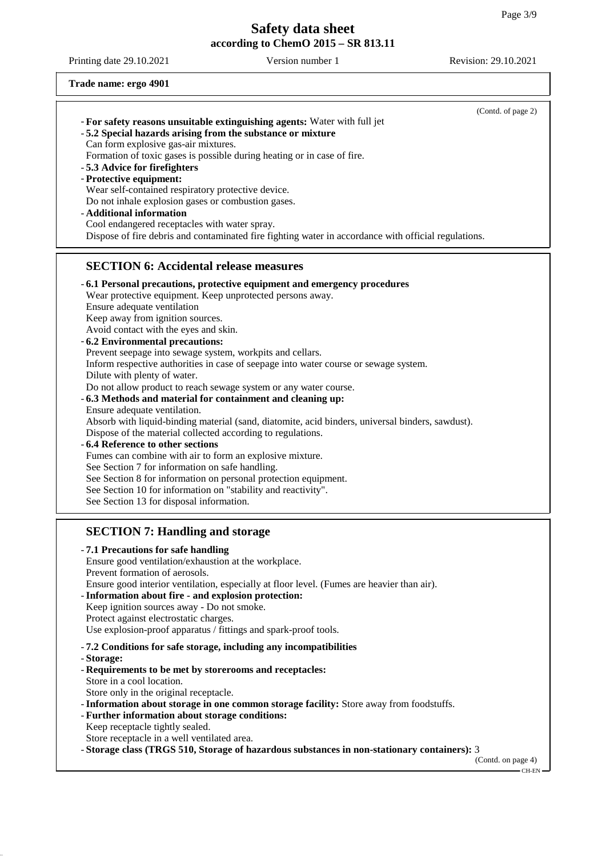Printing date 29.10.2021 Version number 1 Revision: 29.10.2021

**Trade name: ergo 4901**

| - For safety reasons unsuitable extinguishing agents: Water with full jet<br>- 5.2 Special hazards arising from the substance or mixture<br>Can form explosive gas-air mixtures.<br>Formation of toxic gases is possible during heating or in case of fire.<br>-5.3 Advice for firefighters<br>- Protective equipment:<br>Wear self-contained respiratory protective device.<br>Do not inhale explosion gases or combustion gases.<br>- Additional information<br>Cool endangered receptacles with water spray.<br>Dispose of fire debris and contaminated fire fighting water in accordance with official regulations.                                                                                                                                                                                                                                                                                                                                                                                                                                                                                                                             | (Contd. of page 2) |
|-----------------------------------------------------------------------------------------------------------------------------------------------------------------------------------------------------------------------------------------------------------------------------------------------------------------------------------------------------------------------------------------------------------------------------------------------------------------------------------------------------------------------------------------------------------------------------------------------------------------------------------------------------------------------------------------------------------------------------------------------------------------------------------------------------------------------------------------------------------------------------------------------------------------------------------------------------------------------------------------------------------------------------------------------------------------------------------------------------------------------------------------------------|--------------------|
| <b>SECTION 6: Accidental release measures</b>                                                                                                                                                                                                                                                                                                                                                                                                                                                                                                                                                                                                                                                                                                                                                                                                                                                                                                                                                                                                                                                                                                       |                    |
| - 6.1 Personal precautions, protective equipment and emergency procedures<br>Wear protective equipment. Keep unprotected persons away.<br>Ensure adequate ventilation<br>Keep away from ignition sources.<br>Avoid contact with the eyes and skin.<br>- 6.2 Environmental precautions:<br>Prevent seepage into sewage system, workpits and cellars.<br>Inform respective authorities in case of seepage into water course or sewage system.<br>Dilute with plenty of water.<br>Do not allow product to reach sewage system or any water course.<br>-6.3 Methods and material for containment and cleaning up:<br>Ensure adequate ventilation.<br>Absorb with liquid-binding material (sand, diatomite, acid binders, universal binders, sawdust).<br>Dispose of the material collected according to regulations.<br>-6.4 Reference to other sections<br>Fumes can combine with air to form an explosive mixture.<br>See Section 7 for information on safe handling.<br>See Section 8 for information on personal protection equipment.<br>See Section 10 for information on "stability and reactivity".<br>See Section 13 for disposal information. |                    |
| <b>SECTION 7: Handling and storage</b><br>- 7.1 Precautions for safe handling<br>Ensure good ventilation/exhaustion at the workplace.<br>Prevent formation of aerosols.<br>Ensure good interior ventilation, especially at floor level. (Fumes are heavier than air).<br>- Information about fire - and explosion protection:<br>Keep ignition sources away - Do not smoke.<br>Protect against electrostatic charges.<br>Use explosion-proof apparatus / fittings and spark-proof tools.                                                                                                                                                                                                                                                                                                                                                                                                                                                                                                                                                                                                                                                            |                    |
| -7.2 Conditions for safe storage, including any incompatibilities<br>- Storage:<br>- Requirements to be met by storerooms and receptacles:<br>Store in a cool location.<br>Store only in the original receptacle.<br>- Information about storage in one common storage facility: Store away from foodstuffs.<br>- Further information about storage conditions:<br>Keep receptacle tightly sealed.<br>Store receptacle in a well ventilated area.<br>- Storage class (TRGS 510, Storage of hazardous substances in non-stationary containers): 3                                                                                                                                                                                                                                                                                                                                                                                                                                                                                                                                                                                                    | (Contd. on page 4) |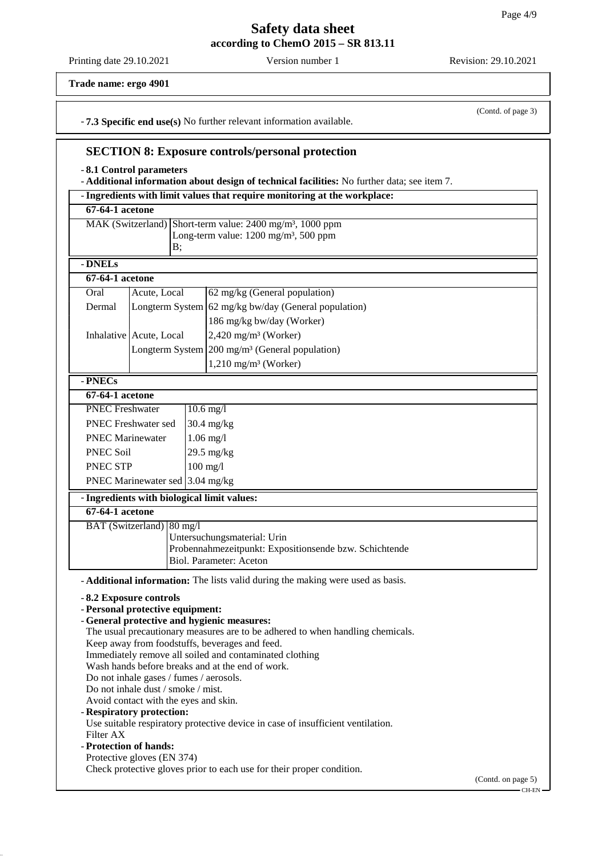Printing date 29.10.2021 Version number 1 Revision: 29.10.2021

(Contd. of page 3)

**Trade name: ergo 4901**

- **7.3 Specific end use(s)** No further relevant information available.

## **SECTION 8: Exposure controls/personal protection**

- **8.1 Control parameters**

- **Additional information about design of technical facilities:** No further data; see item 7.

| 67-64-1 acetone<br>MAK (Switzerland) Short-term value: 2400 mg/m <sup>3</sup> , 1000 ppm<br>Long-term value: 1200 mg/m <sup>3</sup> , 500 ppm<br>B;<br>- DNELs<br>67-64-1 acetone<br>Oral<br>Acute, Local<br>62 mg/kg (General population)<br>Longterm System 62 mg/kg bw/day (General population)<br>Dermal<br>186 mg/kg bw/day (Worker)<br>$2,420$ mg/m <sup>3</sup> (Worker)<br>Inhalative Acute, Local<br>Longterm System $200 \text{ mg/m}^3$ (General population)<br>$1,210$ mg/m <sup>3</sup> (Worker)<br>- PNECs<br>67-64-1 acetone<br><b>PNEC Freshwater</b><br>$10.6$ mg/l<br>PNEC Freshwater sed<br>$30.4$ mg/kg<br><b>PNEC Marinewater</b><br>$1.06$ mg/l<br>PNEC Soil<br>$29.5$ mg/kg<br>$100$ mg/l<br>PNEC STP<br>PNEC Marinewater sed 3.04 mg/kg<br>- Ingredients with biological limit values:<br>$67 - 64 - 1$ acetone<br>BAT (Switzerland) 80 mg/l<br>Untersuchungsmaterial: Urin<br>Probennahmezeitpunkt: Expositionsende bzw. Schichtende<br>Biol. Parameter: Aceton<br>- <b>Additional information:</b> The lists valid during the making were used as basis.<br>- 8.2 Exposure controls<br>- Personal protective equipment:<br>- General protective and hygienic measures:<br>The usual precautionary measures are to be adhered to when handling chemicals.<br>Keep away from foodstuffs, beverages and feed.<br>Immediately remove all soiled and contaminated clothing<br>Wash hands before breaks and at the end of work.<br>Do not inhale gases / fumes / aerosols.<br>Do not inhale dust / smoke / mist.<br>Avoid contact with the eyes and skin.<br>- Respiratory protection:<br>Use suitable respiratory protective device in case of insufficient ventilation.<br>Filter AX<br>- Protection of hands:<br>Protective gloves (EN 374) |  |  |  | - Ingredients with limit values that require monitoring at the workplace: |                              |
|--------------------------------------------------------------------------------------------------------------------------------------------------------------------------------------------------------------------------------------------------------------------------------------------------------------------------------------------------------------------------------------------------------------------------------------------------------------------------------------------------------------------------------------------------------------------------------------------------------------------------------------------------------------------------------------------------------------------------------------------------------------------------------------------------------------------------------------------------------------------------------------------------------------------------------------------------------------------------------------------------------------------------------------------------------------------------------------------------------------------------------------------------------------------------------------------------------------------------------------------------------------------------------------------------------------------------------------------------------------------------------------------------------------------------------------------------------------------------------------------------------------------------------------------------------------------------------------------------------------------------------------------------------------------------------------------------------------------------------------------------------------------|--|--|--|---------------------------------------------------------------------------|------------------------------|
|                                                                                                                                                                                                                                                                                                                                                                                                                                                                                                                                                                                                                                                                                                                                                                                                                                                                                                                                                                                                                                                                                                                                                                                                                                                                                                                                                                                                                                                                                                                                                                                                                                                                                                                                                                    |  |  |  |                                                                           |                              |
|                                                                                                                                                                                                                                                                                                                                                                                                                                                                                                                                                                                                                                                                                                                                                                                                                                                                                                                                                                                                                                                                                                                                                                                                                                                                                                                                                                                                                                                                                                                                                                                                                                                                                                                                                                    |  |  |  |                                                                           |                              |
|                                                                                                                                                                                                                                                                                                                                                                                                                                                                                                                                                                                                                                                                                                                                                                                                                                                                                                                                                                                                                                                                                                                                                                                                                                                                                                                                                                                                                                                                                                                                                                                                                                                                                                                                                                    |  |  |  |                                                                           |                              |
|                                                                                                                                                                                                                                                                                                                                                                                                                                                                                                                                                                                                                                                                                                                                                                                                                                                                                                                                                                                                                                                                                                                                                                                                                                                                                                                                                                                                                                                                                                                                                                                                                                                                                                                                                                    |  |  |  |                                                                           |                              |
|                                                                                                                                                                                                                                                                                                                                                                                                                                                                                                                                                                                                                                                                                                                                                                                                                                                                                                                                                                                                                                                                                                                                                                                                                                                                                                                                                                                                                                                                                                                                                                                                                                                                                                                                                                    |  |  |  |                                                                           |                              |
|                                                                                                                                                                                                                                                                                                                                                                                                                                                                                                                                                                                                                                                                                                                                                                                                                                                                                                                                                                                                                                                                                                                                                                                                                                                                                                                                                                                                                                                                                                                                                                                                                                                                                                                                                                    |  |  |  |                                                                           |                              |
|                                                                                                                                                                                                                                                                                                                                                                                                                                                                                                                                                                                                                                                                                                                                                                                                                                                                                                                                                                                                                                                                                                                                                                                                                                                                                                                                                                                                                                                                                                                                                                                                                                                                                                                                                                    |  |  |  |                                                                           |                              |
|                                                                                                                                                                                                                                                                                                                                                                                                                                                                                                                                                                                                                                                                                                                                                                                                                                                                                                                                                                                                                                                                                                                                                                                                                                                                                                                                                                                                                                                                                                                                                                                                                                                                                                                                                                    |  |  |  |                                                                           |                              |
|                                                                                                                                                                                                                                                                                                                                                                                                                                                                                                                                                                                                                                                                                                                                                                                                                                                                                                                                                                                                                                                                                                                                                                                                                                                                                                                                                                                                                                                                                                                                                                                                                                                                                                                                                                    |  |  |  |                                                                           |                              |
|                                                                                                                                                                                                                                                                                                                                                                                                                                                                                                                                                                                                                                                                                                                                                                                                                                                                                                                                                                                                                                                                                                                                                                                                                                                                                                                                                                                                                                                                                                                                                                                                                                                                                                                                                                    |  |  |  |                                                                           |                              |
|                                                                                                                                                                                                                                                                                                                                                                                                                                                                                                                                                                                                                                                                                                                                                                                                                                                                                                                                                                                                                                                                                                                                                                                                                                                                                                                                                                                                                                                                                                                                                                                                                                                                                                                                                                    |  |  |  |                                                                           |                              |
|                                                                                                                                                                                                                                                                                                                                                                                                                                                                                                                                                                                                                                                                                                                                                                                                                                                                                                                                                                                                                                                                                                                                                                                                                                                                                                                                                                                                                                                                                                                                                                                                                                                                                                                                                                    |  |  |  |                                                                           |                              |
|                                                                                                                                                                                                                                                                                                                                                                                                                                                                                                                                                                                                                                                                                                                                                                                                                                                                                                                                                                                                                                                                                                                                                                                                                                                                                                                                                                                                                                                                                                                                                                                                                                                                                                                                                                    |  |  |  |                                                                           |                              |
|                                                                                                                                                                                                                                                                                                                                                                                                                                                                                                                                                                                                                                                                                                                                                                                                                                                                                                                                                                                                                                                                                                                                                                                                                                                                                                                                                                                                                                                                                                                                                                                                                                                                                                                                                                    |  |  |  |                                                                           |                              |
|                                                                                                                                                                                                                                                                                                                                                                                                                                                                                                                                                                                                                                                                                                                                                                                                                                                                                                                                                                                                                                                                                                                                                                                                                                                                                                                                                                                                                                                                                                                                                                                                                                                                                                                                                                    |  |  |  |                                                                           |                              |
|                                                                                                                                                                                                                                                                                                                                                                                                                                                                                                                                                                                                                                                                                                                                                                                                                                                                                                                                                                                                                                                                                                                                                                                                                                                                                                                                                                                                                                                                                                                                                                                                                                                                                                                                                                    |  |  |  |                                                                           |                              |
|                                                                                                                                                                                                                                                                                                                                                                                                                                                                                                                                                                                                                                                                                                                                                                                                                                                                                                                                                                                                                                                                                                                                                                                                                                                                                                                                                                                                                                                                                                                                                                                                                                                                                                                                                                    |  |  |  |                                                                           |                              |
|                                                                                                                                                                                                                                                                                                                                                                                                                                                                                                                                                                                                                                                                                                                                                                                                                                                                                                                                                                                                                                                                                                                                                                                                                                                                                                                                                                                                                                                                                                                                                                                                                                                                                                                                                                    |  |  |  |                                                                           |                              |
|                                                                                                                                                                                                                                                                                                                                                                                                                                                                                                                                                                                                                                                                                                                                                                                                                                                                                                                                                                                                                                                                                                                                                                                                                                                                                                                                                                                                                                                                                                                                                                                                                                                                                                                                                                    |  |  |  |                                                                           |                              |
|                                                                                                                                                                                                                                                                                                                                                                                                                                                                                                                                                                                                                                                                                                                                                                                                                                                                                                                                                                                                                                                                                                                                                                                                                                                                                                                                                                                                                                                                                                                                                                                                                                                                                                                                                                    |  |  |  |                                                                           |                              |
|                                                                                                                                                                                                                                                                                                                                                                                                                                                                                                                                                                                                                                                                                                                                                                                                                                                                                                                                                                                                                                                                                                                                                                                                                                                                                                                                                                                                                                                                                                                                                                                                                                                                                                                                                                    |  |  |  |                                                                           |                              |
|                                                                                                                                                                                                                                                                                                                                                                                                                                                                                                                                                                                                                                                                                                                                                                                                                                                                                                                                                                                                                                                                                                                                                                                                                                                                                                                                                                                                                                                                                                                                                                                                                                                                                                                                                                    |  |  |  |                                                                           |                              |
|                                                                                                                                                                                                                                                                                                                                                                                                                                                                                                                                                                                                                                                                                                                                                                                                                                                                                                                                                                                                                                                                                                                                                                                                                                                                                                                                                                                                                                                                                                                                                                                                                                                                                                                                                                    |  |  |  |                                                                           |                              |
|                                                                                                                                                                                                                                                                                                                                                                                                                                                                                                                                                                                                                                                                                                                                                                                                                                                                                                                                                                                                                                                                                                                                                                                                                                                                                                                                                                                                                                                                                                                                                                                                                                                                                                                                                                    |  |  |  |                                                                           |                              |
|                                                                                                                                                                                                                                                                                                                                                                                                                                                                                                                                                                                                                                                                                                                                                                                                                                                                                                                                                                                                                                                                                                                                                                                                                                                                                                                                                                                                                                                                                                                                                                                                                                                                                                                                                                    |  |  |  |                                                                           |                              |
|                                                                                                                                                                                                                                                                                                                                                                                                                                                                                                                                                                                                                                                                                                                                                                                                                                                                                                                                                                                                                                                                                                                                                                                                                                                                                                                                                                                                                                                                                                                                                                                                                                                                                                                                                                    |  |  |  |                                                                           |                              |
|                                                                                                                                                                                                                                                                                                                                                                                                                                                                                                                                                                                                                                                                                                                                                                                                                                                                                                                                                                                                                                                                                                                                                                                                                                                                                                                                                                                                                                                                                                                                                                                                                                                                                                                                                                    |  |  |  |                                                                           |                              |
|                                                                                                                                                                                                                                                                                                                                                                                                                                                                                                                                                                                                                                                                                                                                                                                                                                                                                                                                                                                                                                                                                                                                                                                                                                                                                                                                                                                                                                                                                                                                                                                                                                                                                                                                                                    |  |  |  |                                                                           |                              |
|                                                                                                                                                                                                                                                                                                                                                                                                                                                                                                                                                                                                                                                                                                                                                                                                                                                                                                                                                                                                                                                                                                                                                                                                                                                                                                                                                                                                                                                                                                                                                                                                                                                                                                                                                                    |  |  |  |                                                                           |                              |
|                                                                                                                                                                                                                                                                                                                                                                                                                                                                                                                                                                                                                                                                                                                                                                                                                                                                                                                                                                                                                                                                                                                                                                                                                                                                                                                                                                                                                                                                                                                                                                                                                                                                                                                                                                    |  |  |  |                                                                           |                              |
|                                                                                                                                                                                                                                                                                                                                                                                                                                                                                                                                                                                                                                                                                                                                                                                                                                                                                                                                                                                                                                                                                                                                                                                                                                                                                                                                                                                                                                                                                                                                                                                                                                                                                                                                                                    |  |  |  |                                                                           |                              |
|                                                                                                                                                                                                                                                                                                                                                                                                                                                                                                                                                                                                                                                                                                                                                                                                                                                                                                                                                                                                                                                                                                                                                                                                                                                                                                                                                                                                                                                                                                                                                                                                                                                                                                                                                                    |  |  |  |                                                                           |                              |
|                                                                                                                                                                                                                                                                                                                                                                                                                                                                                                                                                                                                                                                                                                                                                                                                                                                                                                                                                                                                                                                                                                                                                                                                                                                                                                                                                                                                                                                                                                                                                                                                                                                                                                                                                                    |  |  |  |                                                                           |                              |
|                                                                                                                                                                                                                                                                                                                                                                                                                                                                                                                                                                                                                                                                                                                                                                                                                                                                                                                                                                                                                                                                                                                                                                                                                                                                                                                                                                                                                                                                                                                                                                                                                                                                                                                                                                    |  |  |  |                                                                           |                              |
|                                                                                                                                                                                                                                                                                                                                                                                                                                                                                                                                                                                                                                                                                                                                                                                                                                                                                                                                                                                                                                                                                                                                                                                                                                                                                                                                                                                                                                                                                                                                                                                                                                                                                                                                                                    |  |  |  |                                                                           |                              |
|                                                                                                                                                                                                                                                                                                                                                                                                                                                                                                                                                                                                                                                                                                                                                                                                                                                                                                                                                                                                                                                                                                                                                                                                                                                                                                                                                                                                                                                                                                                                                                                                                                                                                                                                                                    |  |  |  |                                                                           |                              |
|                                                                                                                                                                                                                                                                                                                                                                                                                                                                                                                                                                                                                                                                                                                                                                                                                                                                                                                                                                                                                                                                                                                                                                                                                                                                                                                                                                                                                                                                                                                                                                                                                                                                                                                                                                    |  |  |  |                                                                           |                              |
|                                                                                                                                                                                                                                                                                                                                                                                                                                                                                                                                                                                                                                                                                                                                                                                                                                                                                                                                                                                                                                                                                                                                                                                                                                                                                                                                                                                                                                                                                                                                                                                                                                                                                                                                                                    |  |  |  |                                                                           |                              |
|                                                                                                                                                                                                                                                                                                                                                                                                                                                                                                                                                                                                                                                                                                                                                                                                                                                                                                                                                                                                                                                                                                                                                                                                                                                                                                                                                                                                                                                                                                                                                                                                                                                                                                                                                                    |  |  |  |                                                                           |                              |
|                                                                                                                                                                                                                                                                                                                                                                                                                                                                                                                                                                                                                                                                                                                                                                                                                                                                                                                                                                                                                                                                                                                                                                                                                                                                                                                                                                                                                                                                                                                                                                                                                                                                                                                                                                    |  |  |  |                                                                           |                              |
| Check protective gloves prior to each use for their proper condition.                                                                                                                                                                                                                                                                                                                                                                                                                                                                                                                                                                                                                                                                                                                                                                                                                                                                                                                                                                                                                                                                                                                                                                                                                                                                                                                                                                                                                                                                                                                                                                                                                                                                                              |  |  |  |                                                                           |                              |
|                                                                                                                                                                                                                                                                                                                                                                                                                                                                                                                                                                                                                                                                                                                                                                                                                                                                                                                                                                                                                                                                                                                                                                                                                                                                                                                                                                                                                                                                                                                                                                                                                                                                                                                                                                    |  |  |  |                                                                           | (Contd. on page 5)<br>CH-EN- |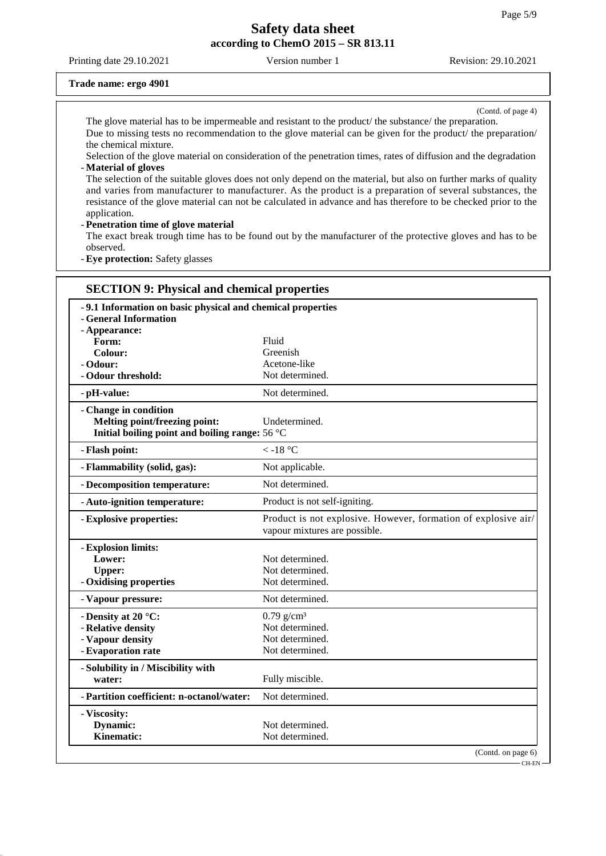Printing date 29.10.2021 Version number 1 Revision: 29.10.2021

#### **Trade name: ergo 4901**

(Contd. of page 4)

The glove material has to be impermeable and resistant to the product/ the substance/ the preparation. Due to missing tests no recommendation to the glove material can be given for the product/ the preparation/ the chemical mixture.

Selection of the glove material on consideration of the penetration times, rates of diffusion and the degradation - **Material of gloves**

The selection of the suitable gloves does not only depend on the material, but also on further marks of quality and varies from manufacturer to manufacturer. As the product is a preparation of several substances, the resistance of the glove material can not be calculated in advance and has therefore to be checked prior to the application.

#### - **Penetration time of glove material**

The exact break trough time has to be found out by the manufacturer of the protective gloves and has to be observed.

- **Eye protection:** Safety glasses

| -9.1 Information on basic physical and chemical properties<br>- General Information |                                                                                                 |
|-------------------------------------------------------------------------------------|-------------------------------------------------------------------------------------------------|
| - Appearance:                                                                       |                                                                                                 |
| Form:                                                                               | Fluid                                                                                           |
| <b>Colour:</b>                                                                      | Greenish                                                                                        |
| - Odour:                                                                            | Acetone-like                                                                                    |
| - Odour threshold:                                                                  | Not determined.                                                                                 |
| - pH-value:                                                                         | Not determined.                                                                                 |
| - Change in condition                                                               |                                                                                                 |
| Melting point/freezing point:                                                       | Undetermined.                                                                                   |
| Initial boiling point and boiling range: 56 °C                                      |                                                                                                 |
| - Flash point:                                                                      | $< -18$ °C                                                                                      |
| - Flammability (solid, gas):                                                        | Not applicable.                                                                                 |
| - Decomposition temperature:                                                        | Not determined.                                                                                 |
| - Auto-ignition temperature:                                                        | Product is not self-igniting.                                                                   |
| - Explosive properties:                                                             | Product is not explosive. However, formation of explosive air/<br>vapour mixtures are possible. |
| - Explosion limits:                                                                 |                                                                                                 |
| Lower:                                                                              | Not determined.                                                                                 |
| <b>Upper:</b>                                                                       | Not determined.                                                                                 |
| - Oxidising properties                                                              | Not determined.                                                                                 |
| - Vapour pressure:                                                                  | Not determined.                                                                                 |
| - Density at 20 °C:                                                                 | $0.79$ g/cm <sup>3</sup>                                                                        |
| - Relative density                                                                  | Not determined.                                                                                 |
| - Vapour density                                                                    | Not determined.                                                                                 |
| - Evaporation rate                                                                  | Not determined.                                                                                 |
| - Solubility in / Miscibility with                                                  |                                                                                                 |
| water:                                                                              | Fully miscible.                                                                                 |
| - Partition coefficient: n-octanol/water:                                           | Not determined.                                                                                 |
| - Viscosity:                                                                        |                                                                                                 |
| Dynamic:                                                                            | Not determined.                                                                                 |
| <b>Kinematic:</b>                                                                   | Not determined.                                                                                 |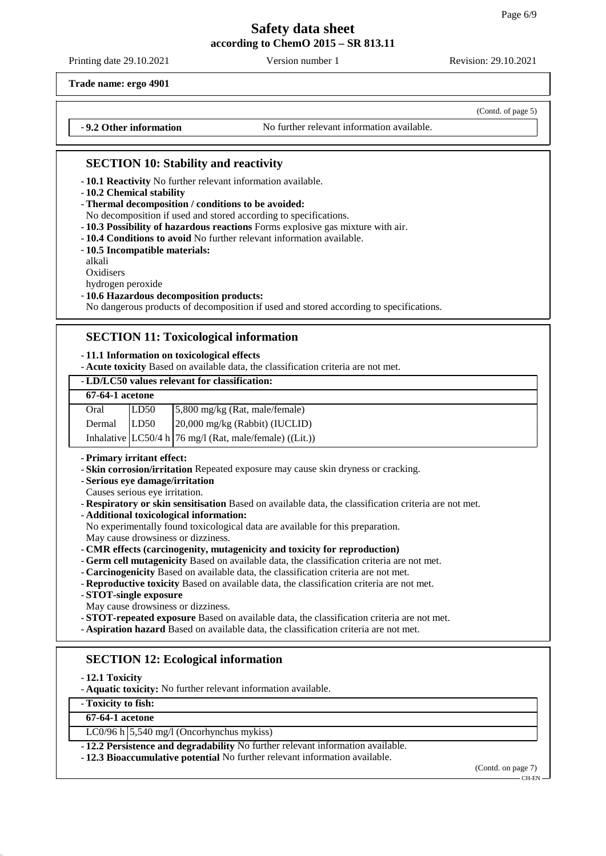Printing date 29.10.2021 Version number 1 Revision: 29.10.2021

(Contd. of page 5)

**Trade name: ergo 4901**

- **9.2 Other information** No further relevant information available.

## **SECTION 10: Stability and reactivity**

- **10.1 Reactivity** No further relevant information available.
- **10.2 Chemical stability**
- **Thermal decomposition / conditions to be avoided:**
- No decomposition if used and stored according to specifications.
- **10.3 Possibility of hazardous reactions** Forms explosive gas mixture with air.
- **10.4 Conditions to avoid** No further relevant information available.
- **10.5 Incompatible materials:**

alkali

**Oxidisers** 

hydrogen peroxide

#### - **10.6 Hazardous decomposition products:**

No dangerous products of decomposition if used and stored according to specifications.

### **SECTION 11: Toxicological information**

#### - **11.1 Information on toxicological effects**

- **Acute toxicity** Based on available data, the classification criteria are not met.

#### - **LD/LC50 values relevant for classification:**

| <b>67-64-1</b> acetone |      |                                                            |  |  |
|------------------------|------|------------------------------------------------------------|--|--|
| Oral                   | LD50 | $\frac{5,800 \text{ mg/kg}}{Rat}$ , male/female)           |  |  |
| Dermal                 | LD50 | 20,000 mg/kg (Rabbit) (IUCLID)                             |  |  |
|                        |      | Inhalative $ LC50/4 h 76$ mg/l (Rat, male/female) ((Lit.)) |  |  |

#### - **Primary irritant effect:**

- **Skin corrosion/irritation** Repeated exposure may cause skin dryness or cracking.
- **Serious eye damage/irritation**
- Causes serious eye irritation.
- **Respiratory or skin sensitisation** Based on available data, the classification criteria are not met.
- **Additional toxicological information:**
- No experimentally found toxicological data are available for this preparation.

May cause drowsiness or dizziness.

- **CMR effects (carcinogenity, mutagenicity and toxicity for reproduction)**
- **Germ cell mutagenicity** Based on available data, the classification criteria are not met.
- **Carcinogenicity** Based on available data, the classification criteria are not met.
- **Reproductive toxicity** Based on available data, the classification criteria are not met.
- **STOT-single exposure**
- May cause drowsiness or dizziness.
- **STOT-repeated exposure** Based on available data, the classification criteria are not met.
- **Aspiration hazard** Based on available data, the classification criteria are not met.

# **SECTION 12: Ecological information**

- **12.1 Toxicity**

- **Aquatic toxicity:** No further relevant information available.

- **Toxicity to fish:**

## **67-64-1 acetone**

LC0/96 h 5,540 mg/l (Oncorhynchus mykiss)

- **12.2 Persistence and degradability** No further relevant information available.

- **12.3 Bioaccumulative potential** No further relevant information available.

(Contd. on page 7) CH-EN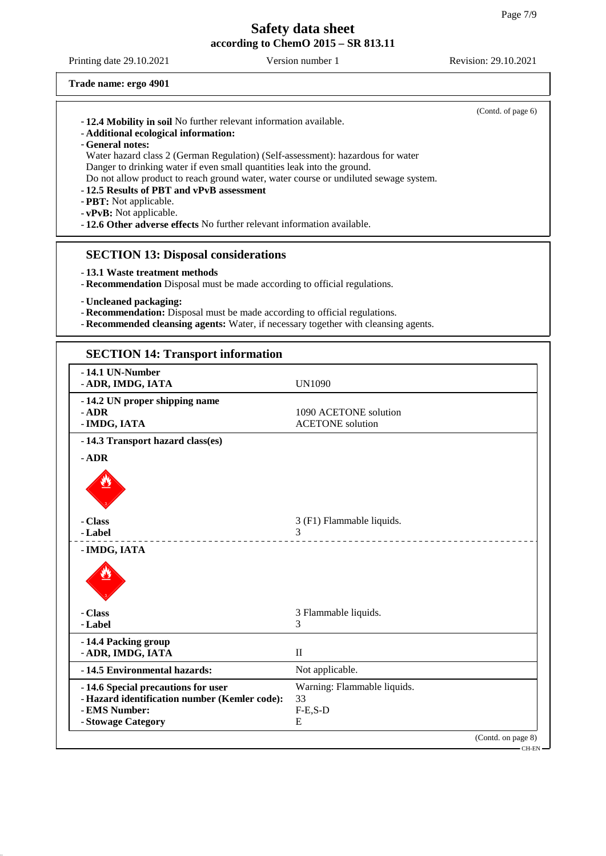Printing date 29.10.2021 Version number 1 Revision: 29.10.2021

**Trade name: ergo 4901**

| -12.4 Mobility in soil No further relevant information available.<br>- Additional ecological information:<br>- General notes:<br>Danger to drinking water if even small quantities leak into the ground.<br>-12.5 Results of PBT and vPvB assessment<br>- PBT: Not applicable.<br>- vPvB: Not applicable.<br>- 12.6 Other adverse effects No further relevant information available. | Water hazard class 2 (German Regulation) (Self-assessment): hazardous for water<br>Do not allow product to reach ground water, water course or undiluted sewage system. | (Contd. of page 6) |
|--------------------------------------------------------------------------------------------------------------------------------------------------------------------------------------------------------------------------------------------------------------------------------------------------------------------------------------------------------------------------------------|-------------------------------------------------------------------------------------------------------------------------------------------------------------------------|--------------------|
| <b>SECTION 13: Disposal considerations</b><br>-13.1 Waste treatment methods<br>- Uncleaned packaging:                                                                                                                                                                                                                                                                                | - Recommendation Disposal must be made according to official regulations.                                                                                               |                    |
|                                                                                                                                                                                                                                                                                                                                                                                      | - Recommendation: Disposal must be made according to official regulations.<br>- Recommended cleansing agents: Water, if necessary together with cleansing agents.       |                    |
| <b>SECTION 14: Transport information</b>                                                                                                                                                                                                                                                                                                                                             |                                                                                                                                                                         |                    |
| -14.1 UN-Number<br>- ADR, IMDG, IATA                                                                                                                                                                                                                                                                                                                                                 | <b>UN1090</b>                                                                                                                                                           |                    |
| -14.2 UN proper shipping name<br>$-$ ADR                                                                                                                                                                                                                                                                                                                                             | 1090 ACETONE solution                                                                                                                                                   |                    |

ACETONE solution

- **ADR** 1090 ACETONE solution<br>- **IMDG, IATA** ACETONE solution - **14.3 Transport hazard class(es)**  $\overline{\phantom{a}}$ - **ADR**

| $-$ ADR                                       |                             |
|-----------------------------------------------|-----------------------------|
|                                               |                             |
| - Class                                       | 3 (F1) Flammable liquids.   |
| - Label                                       | 3                           |
| - IMDG, IATA                                  |                             |
|                                               |                             |
| - Class                                       | 3 Flammable liquids.        |
| - Label                                       | 3                           |
| -14.4 Packing group                           |                             |
| - ADR, IMDG, IATA                             | $\mathbf{I}$                |
| -14.5 Environmental hazards:                  | Not applicable.             |
| -14.6 Special precautions for user            | Warning: Flammable liquids. |
| - Hazard identification number (Kemler code): | 33                          |
| - EMS Number:                                 | $F-E$ , $S-D$               |
| - Stowage Category                            | E                           |
|                                               | (Contd. on page 8)          |
|                                               | – CH-EN -                   |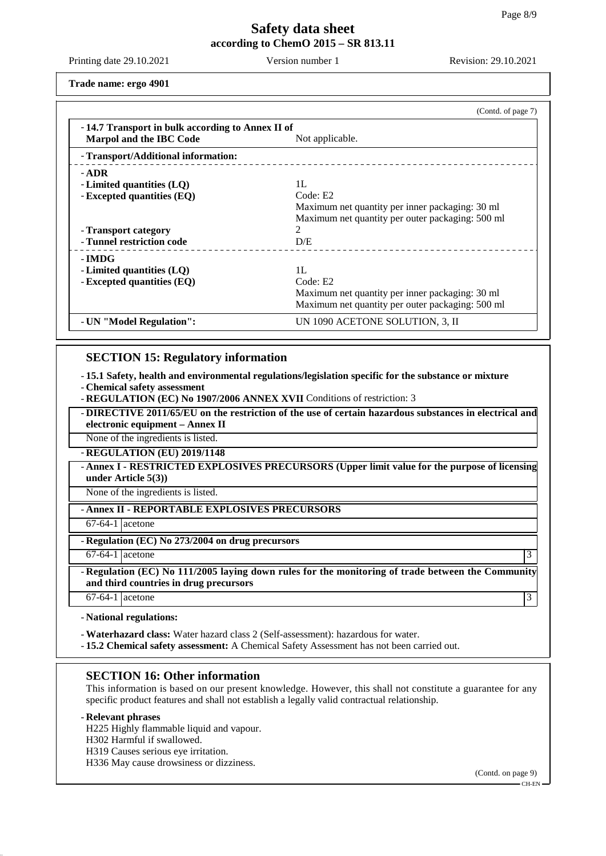Printing date 29.10.2021 Version number 1 Revision: 29.10.2021

**Trade name: ergo 4901**

|                                                                             | (Contd. of page 7)                               |
|-----------------------------------------------------------------------------|--------------------------------------------------|
| -14.7 Transport in bulk according to Annex II of<br>Marpol and the IBC Code | Not applicable.                                  |
| - Transport/Additional information:                                         |                                                  |
| - ADR                                                                       |                                                  |
| - Limited quantities $(LQ)$                                                 | 1L                                               |
| - Excepted quantities (EQ)                                                  | Code: E2                                         |
|                                                                             | Maximum net quantity per inner packaging: 30 ml  |
|                                                                             | Maximum net quantity per outer packaging: 500 ml |
| - Transport category                                                        | $\mathcal{D}_{\mathcal{L}}$                      |
| - Tunnel restriction code                                                   | D/E                                              |
| - IMDG                                                                      |                                                  |
| - Limited quantities (LQ)                                                   | 1L                                               |
|                                                                             | Code: E2                                         |
|                                                                             |                                                  |
|                                                                             | Maximum net quantity per outer packaging: 500 ml |
| - UN "Model Regulation":                                                    | UN 1090 ACETONE SOLUTION, 3, II                  |
| - Excepted quantities (EQ)                                                  | Maximum net quantity per inner packaging: 30 ml  |

## **SECTION 15: Regulatory information**

- **15.1 Safety, health and environmental regulations/legislation specific for the substance or mixture**

- **Chemical safety assessment**
- **REGULATION (EC) No 1907/2006 ANNEX XVII** Conditions of restriction: 3

- **DIRECTIVE 2011/65/EU on the restriction of the use of certain hazardous substances in electrical and electronic equipment – Annex II**

None of the ingredients is listed.

- **REGULATION (EU) 2019/1148**

- **Annex I - RESTRICTED EXPLOSIVES PRECURSORS (Upper limit value for the purpose of licensing under Article 5(3))**

None of the ingredients is listed.

- **Annex II - REPORTABLE EXPLOSIVES PRECURSORS**

67-64-1 acetone

- **Regulation (EC) No 273/2004 on drug precursors**

 $67-64-1$  acetone 3

- **Regulation (EC) No 111/2005 laying down rules for the monitoring of trade between the Community and third countries in drug precursors**

 $67-64-1$  acetone 3

- **National regulations:**

- **Waterhazard class:** Water hazard class 2 (Self-assessment): hazardous for water.

- **15.2 Chemical safety assessment:** A Chemical Safety Assessment has not been carried out.

### **SECTION 16: Other information**

This information is based on our present knowledge. However, this shall not constitute a guarantee for any specific product features and shall not establish a legally valid contractual relationship.

### - **Relevant phrases**

H225 Highly flammable liquid and vapour.

H302 Harmful if swallowed.

H319 Causes serious eye irritation.

H336 May cause drowsiness or dizziness.

(Contd. on page 9)